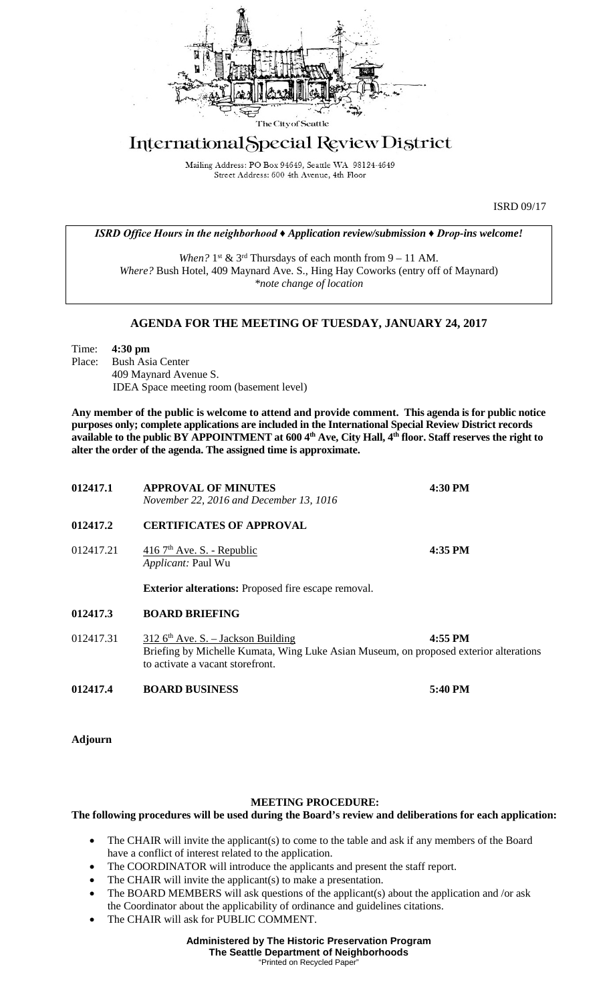

## International Special Review District

Mailing Address: PO Box 94649, Seattle WA 98124-4649 Street Address: 600 4th Avenue, 4th Floor

ISRD 09/17

*ISRD Office Hours in the neighborhood ♦ Application review/submission ♦ Drop-ins welcome!*

*When?*  $1^{st}$  &  $3^{rd}$  Thursdays of each month from  $9 - 11$  AM. *Where?* Bush Hotel, 409 Maynard Ave. S., Hing Hay Coworks (entry off of Maynard) *\*note change of location*

## **AGENDA FOR THE MEETING OF TUESDAY, JANUARY 24, 2017**

Time: **4:30 pm** Place: Bush Asia Center 409 Maynard Avenue S. IDEA Space meeting room (basement level)

**Any member of the public is welcome to attend and provide comment. This agenda is for public notice purposes only; complete applications are included in the International Special Review District records available to the public BY APPOINTMENT at 600 4th Ave, City Hall, 4th floor. Staff reserves the right to alter the order of the agenda. The assigned time is approximate.** 

| 012417.1  | <b>APPROVAL OF MINUTES</b><br>November 22, 2016 and December 13, 1016                | 4:30 PM                                                                                          |  |
|-----------|--------------------------------------------------------------------------------------|--------------------------------------------------------------------------------------------------|--|
| 012417.2  | <b>CERTIFICATES OF APPROVAL</b>                                                      |                                                                                                  |  |
| 012417.21 | 416 7 <sup>th</sup> Ave. S. - Republic<br>Applicant: Paul Wu                         | 4:35 PM                                                                                          |  |
|           | <b>Exterior alterations:</b> Proposed fire escape removal.                           |                                                                                                  |  |
| 012417.3  | <b>BOARD BRIEFING</b>                                                                |                                                                                                  |  |
| 012417.31 | $312$ 6 <sup>th</sup> Ave. S. – Jackson Building<br>to activate a vacant storefront. | 4:55 PM<br>Briefing by Michelle Kumata, Wing Luke Asian Museum, on proposed exterior alterations |  |
| 012417.4  | <b>BOARD BUSINESS</b>                                                                | 5:40 PM                                                                                          |  |

**Adjourn**

## **MEETING PROCEDURE:**

## **The following procedures will be used during the Board's review and deliberations for each application:**

- The CHAIR will invite the applicant(s) to come to the table and ask if any members of the Board have a conflict of interest related to the application.
- The COORDINATOR will introduce the applicants and present the staff report.
- The CHAIR will invite the applicant(s) to make a presentation.
- The BOARD MEMBERS will ask questions of the applicant(s) about the application and /or ask the Coordinator about the applicability of ordinance and guidelines citations.
- The CHAIR will ask for PUBLIC COMMENT.